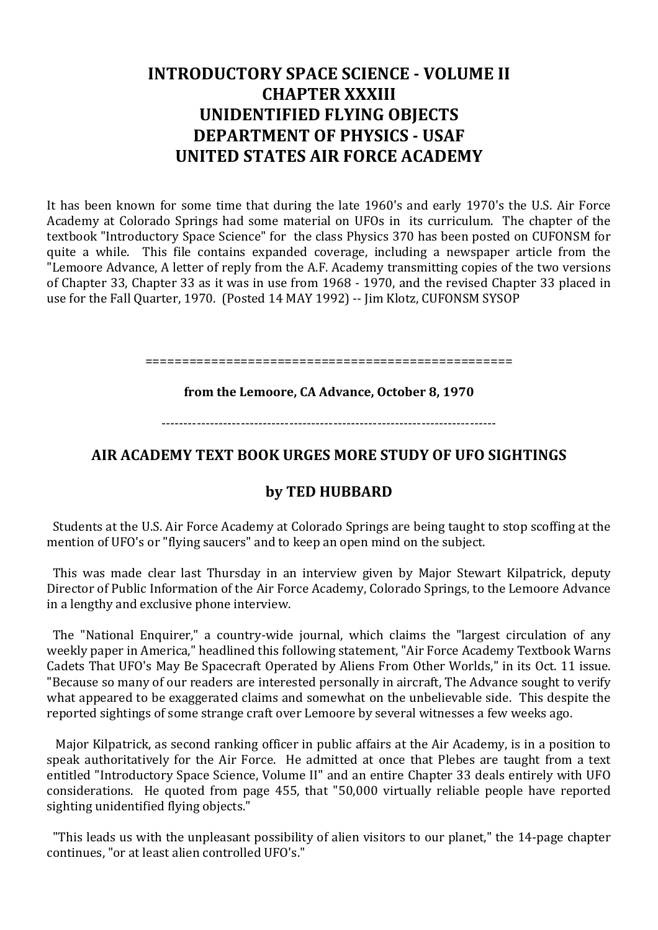# **INTRODUCTORY SPACE SCIENCE - VOLUME II CHAPTER XXXIII UNIDENTIFIED FLYING OBJECTS DEPARTMENT OF PHYSICS - USAF UNITED STATES AIR FORCE ACADEMY**

It has been known for some time that during the late 1960's and early 1970's the U.S. Air Force Academy at Colorado Springs had some material on UFOs in its curriculum. The chapter of the textbook "Introductory Space Science" for the class Physics 370 has been posted on CUFONSM for quite a while. This file contains expanded coverage, including a newspaper article from the "Lemoore Advance, A letter of reply from the A.F. Academy transmitting copies of the two versions of Chapter 33, Chapter 33 as it was in use from 1968 - 1970, and the revised Chapter 33 placed in use for the Fall Quarter, 1970. (Posted 14 MAY 1992) -- Jim Klotz, CUFONSM SYSOP

==================================================

### from the Lemoore, CA Advance, October 8, 1970

QQQQQQQQQQQQQQQQQQQQQQQQQQQQQQQQQQQQQQQQQQQQQQQQQQQQQQQQQQQQQQQQQQQQQQQQQQQQ

# AIR ACADEMY TEXT BOOK URGES MORE STUDY OF UFO SIGHTINGS

# **by TED HUBBARD**

Students at the U.S. Air Force Academy at Colorado Springs are being taught to stop scoffing at the mention of UFO's or "flying saucers" and to keep an open mind on the subject.

This was made clear last Thursday in an interview given by Major Stewart Kilpatrick, deputy Director of Public Information of the Air Force Academy, Colorado Springs, to the Lemoore Advance in a lengthy and exclusive phone interview.

The "National Enquirer," a country-wide journal, which claims the "largest circulation of any weekly paper in America," headlined this following statement, "Air Force Academy Textbook Warns Cadets That UFO's May Be Spacecraft Operated by Aliens From Other Worlds," in its Oct. 11 issue. "Because so many of our readers are interested personally in aircraft, The Advance sought to verify what appeared to be exaggerated claims and somewhat on the unbelievable side. This despite the reported sightings of some strange craft over Lemoore by several witnesses a few weeks ago.

Major Kilpatrick, as second ranking officer in public affairs at the Air Academy, is in a position to speak authoritatively for the Air Force. He admitted at once that Plebes are taught from a text entitled "Introductory Space Science, Volume II" and an entire Chapter 33 deals entirely with UFO considerations. He quoted from page 455, that "50,000 virtually reliable people have reported sighting unidentified flying objects."

"This leads us with the unpleasant possibility of alien visitors to our planet," the 14-page chapter continues. "or at least alien controlled UFO's."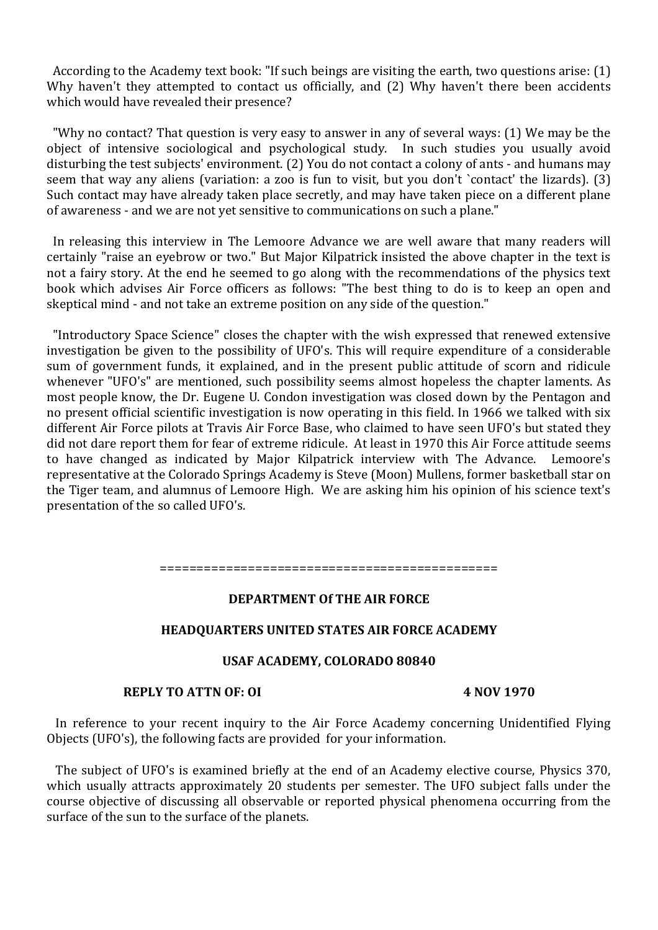According to the Academy text book: "If such beings are visiting the earth, two questions arise:  $(1)$ Why haven't they attempted to contact us officially, and (2) Why haven't there been accidents which would have revealed their presence?

"Why no contact? That question is very easy to answer in any of several ways: (1) We may be the object of intensive sociological and psychological study. In such studies you usually avoid disturbing the test subjects' environment. (2) You do not contact a colony of ants - and humans may seem that way any aliens (variation: a zoo is fun to visit, but you don't `contact' the lizards). (3) Such contact may have already taken place secretly, and may have taken piece on a different plane of awareness - and we are not yet sensitive to communications on such a plane."

In releasing this interview in The Lemoore Advance we are well aware that many readers will certainly "raise an eyebrow or two." But Major Kilpatrick insisted the above chapter in the text is not a fairy story. At the end he seemed to go along with the recommendations of the physics text book which advises Air Force officers as follows: "The best thing to do is to keep an open and skeptical mind - and not take an extreme position on any side of the question."

"Introductory Space Science" closes the chapter with the wish expressed that renewed extensive investigation be given to the possibility of UFO's. This will require expenditure of a considerable sum of government funds, it explained, and in the present public attitude of scorn and ridicule whenever "UFO's" are mentioned, such possibility seems almost hopeless the chapter laments. As most people know, the Dr. Eugene U. Condon investigation was closed down by the Pentagon and no present official scientific investigation is now operating in this field. In 1966 we talked with six different Air Force pilots at Travis Air Force Base, who claimed to have seen UFO's but stated they did not dare report them for fear of extreme ridicule. At least in 1970 this Air Force attitude seems to have changed as indicated by Major Kilpatrick interview with The Advance. Lemoore's representative at the Colorado Springs Academy is Steve (Moon) Mullens, former basketball star on the Tiger team, and alumnus of Lemoore High. We are asking him his opinion of his science text's presentation of the so called UFO's.

#### **DEPARTMENT Of THE AIR FORCE**

#### **HEADQUARTERS UNITED STATES AIR FORCE ACADEMY**

#### **USAF ACADEMY, COLORADO 80840**

#### **REPLY TO ATTN OF: OI 4 NOV 1970**

In reference to your recent inquiry to the Air Force Academy concerning Unidentified Flying Objects (UFO's), the following facts are provided for your information.

The subject of UFO's is examined briefly at the end of an Academy elective course, Physics 370, which usually attracts approximately 20 students per semester. The UFO subject falls under the course objective of discussing all observable or reported physical phenomena occurring from the surface of the sun to the surface of the planets.

<sup>==============================================</sup>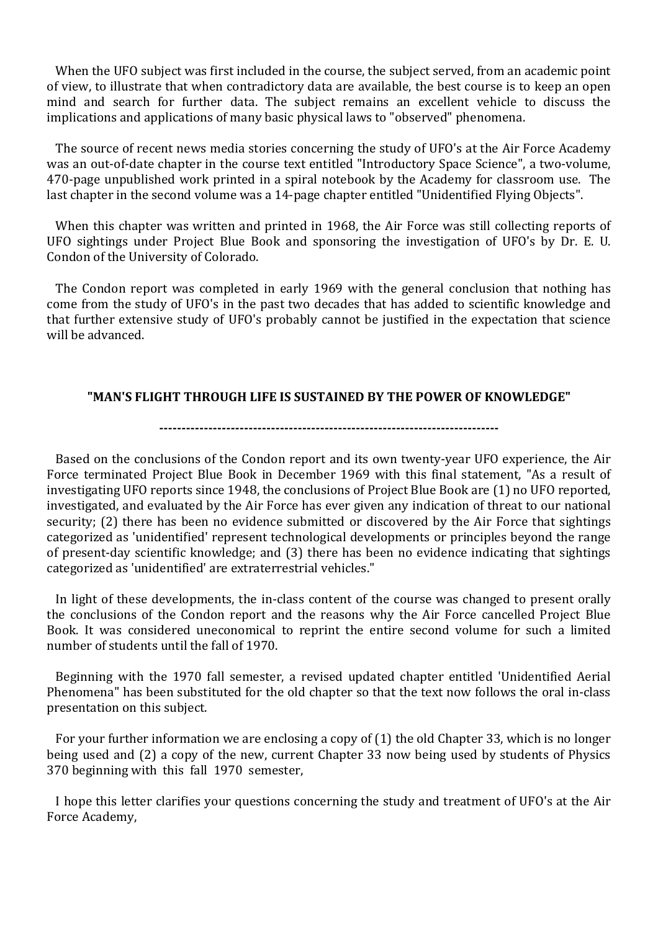When the UFO subject was first included in the course, the subject served, from an academic point of view, to illustrate that when contradictory data are available, the best course is to keep an open mind and search for further data. The subject remains an excellent vehicle to discuss the implications and applications of many basic physical laws to "observed" phenomena.

The source of recent news media stories concerning the study of UFO's at the Air Force Academy was an out-of-date chapter in the course text entitled "Introductory Space Science", a two-volume, 470-page unpublished work printed in a spiral notebook by the Academy for classroom use. The last chapter in the second volume was a 14-page chapter entitled "Unidentified Flying Objects".

When this chapter was written and printed in 1968, the Air Force was still collecting reports of UFO sightings under Project Blue Book and sponsoring the investigation of UFO's by Dr. E. U. Condon of the University of Colorado.

The Condon report was completed in early 1969 with the general conclusion that nothing has come from the study of UFO's in the past two decades that has added to scientific knowledge and that further extensive study of UFO's probably cannot be justified in the expectation that science will be advanced.

# **"MAN'S\*FLIGHT\*THROUGH\*LIFE\*IS\*SUSTAINED\*BY\*THE\*POWER\*OF\*KNOWLEDGE"**

**////////////////////////////////////////////////////////////////////////////**

Based on the conclusions of the Condon report and its own twenty-year UFO experience, the Air Force terminated Project Blue Book in December 1969 with this final statement, "As a result of investigating UFO reports since 1948, the conclusions of Project Blue Book are (1) no UFO reported, investigated, and evaluated by the Air Force has ever given any indication of threat to our national security; (2) there has been no evidence submitted or discovered by the Air Force that sightings categorized as 'unidentified' represent technological developments or principles beyond the range of present-day scientific knowledge; and (3) there has been no evidence indicating that sightings categorized as 'unidentified' are extraterrestrial vehicles."

In light of these developments, the in-class content of the course was changed to present orally the conclusions of the Condon report and the reasons why the Air Force cancelled Project Blue Book. It was considered uneconomical to reprint the entire second volume for such a limited number of students until the fall of 1970.

Beginning with the 1970 fall semester, a revised updated chapter entitled 'Unidentified Aerial Phenomena" has been substituted for the old chapter so that the text now follows the oral in-class presentation on this subject.

For your further information we are enclosing a copy of (1) the old Chapter 33, which is no longer being used and (2) a copy of the new, current Chapter 33 now being used by students of Physics 370 beginning with this fall 1970 semester,

I hope this letter clarifies your questions concerning the study and treatment of UFO's at the Air Force Academy,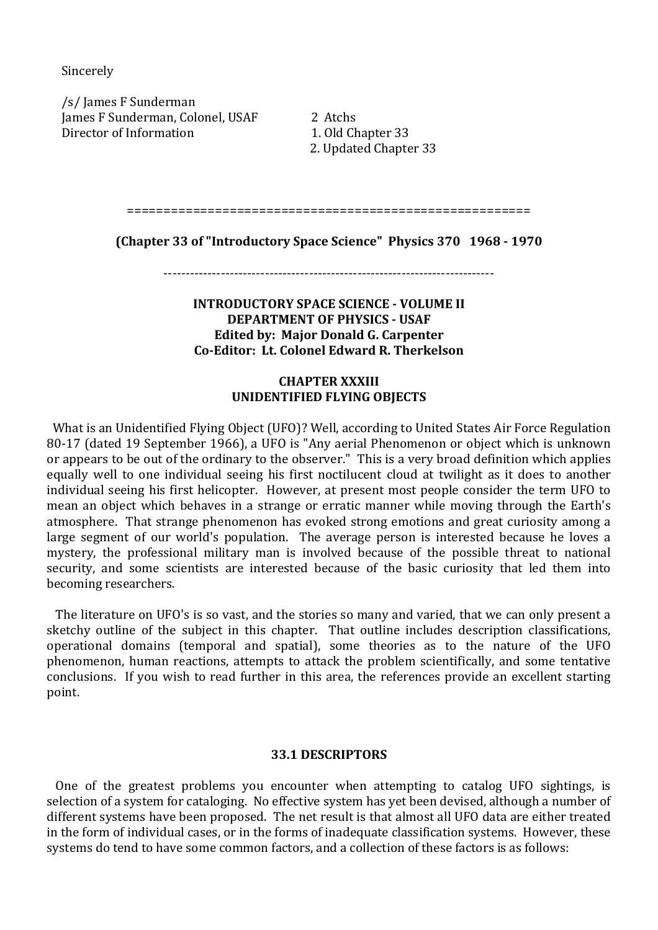Sincerely

/s/ James F Sunderman Iames F Sunderman, Colonel, USAF 2 Atchs Director of Information 1. Old Chapter 33

2. Updated Chapter 33

=======================================================

**(Chapter 33 of "Introductory Space Science" Physics 370 1968 - 1970** 

QQQQQQQQQQQQQQQQQQQQQQQQQQQQQQQQQQQQQQQQQQQQQQQQQQQQQQQQQQQQQQQQQQQQQQQQQQQ

# **INTRODUCTORY SPACE SCIENCE - VOLUME II DEPARTMENT OF PHYSICS - USAF Edited by: Major Donald G. Carpenter Co/Editor:\*\*Lt.\*Colonel\*Edward\*R.\*Therkelson**

#### **CHAPTER XXXIII UNIDENTIFIED FLYING OBJECTS**

What is an Unidentified Flying Object (UFO)? Well, according to United States Air Force Regulation 80-17 (dated 19 September 1966), a UFO is "Any aerial Phenomenon or object which is unknown or appears to be out of the ordinary to the observer." This is a very broad definition which applies equally well to one individual seeing his first noctilucent cloud at twilight as it does to another individual seeing his first helicopter. However, at present most people consider the term UFO to mean an object which behaves in a strange or erratic manner while moving through the Earth's atmosphere. That strange phenomenon has evoked strong emotions and great curiosity among a large segment of our world's population. The average person is interested because he loves a mystery, the professional military man is involved because of the possible threat to national security, and some scientists are interested because of the basic curiosity that led them into becoming researchers.

The literature on UFO's is so vast, and the stories so many and varied, that we can only present a sketchy outline of the subject in this chapter. That outline includes description classifications, operational domains (temporal and spatial), some theories as to the nature of the UFO phenomenon, human reactions, attempts to attack the problem scientifically, and some tentative conclusions. If you wish to read further in this area, the references provide an excellent starting point.

#### **33.1\*DESCRIPTORS**

One of the greatest problems you encounter when attempting to catalog UFO sightings, is selection of a system for cataloging. No effective system has yet been devised, although a number of different systems have been proposed. The net result is that almost all UFO data are either treated in the form of individual cases, or in the forms of inadequate classification systems. However, these systems do tend to have some common factors, and a collection of these factors is as follows: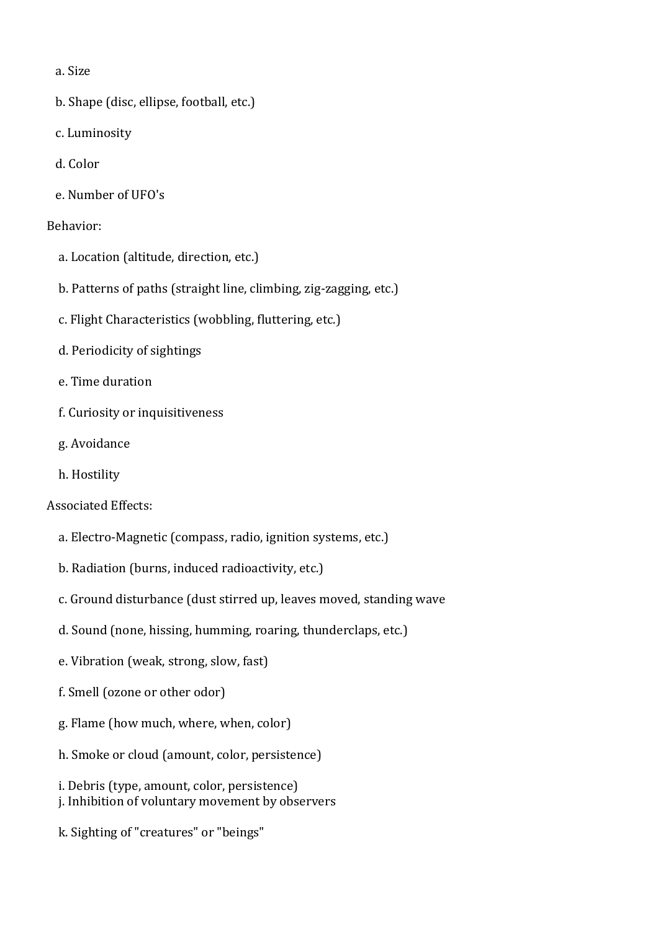a. Size

- b. Shape (disc, ellipse, football, etc.)
- c. Luminosity
- d. Color
- e. Number of UFO's

# Behavior:!

- a. Location (altitude, direction, etc.)
- b. Patterns of paths (straight line, climbing, zig-zagging, etc.)
- c. Flight Characteristics (wobbling, fluttering, etc.)
- d. Periodicity of sightings
- e. Time duration
- f. Curiosity or inquisitiveness
- g. Avoidance
- h. Hostility

# Associated Effects:

- a. Electro-Magnetic (compass, radio, ignition systems, etc.)
- b. Radiation (burns, induced radioactivity, etc.)
- c. Ground disturbance (dust stirred up, leaves moved, standing wave
- d. Sound (none, hissing, humming, roaring, thunderclaps, etc.)
- e. Vibration (weak, strong, slow, fast)
- f. Smell (ozone or other odor)
- g. Flame (how much, where, when, color)
- h. Smoke or cloud (amount, color, persistence)
- i. Debris (type, amount, color, persistence) j. Inhibition of voluntary movement by observers
- k. Sighting of "creatures" or "beings"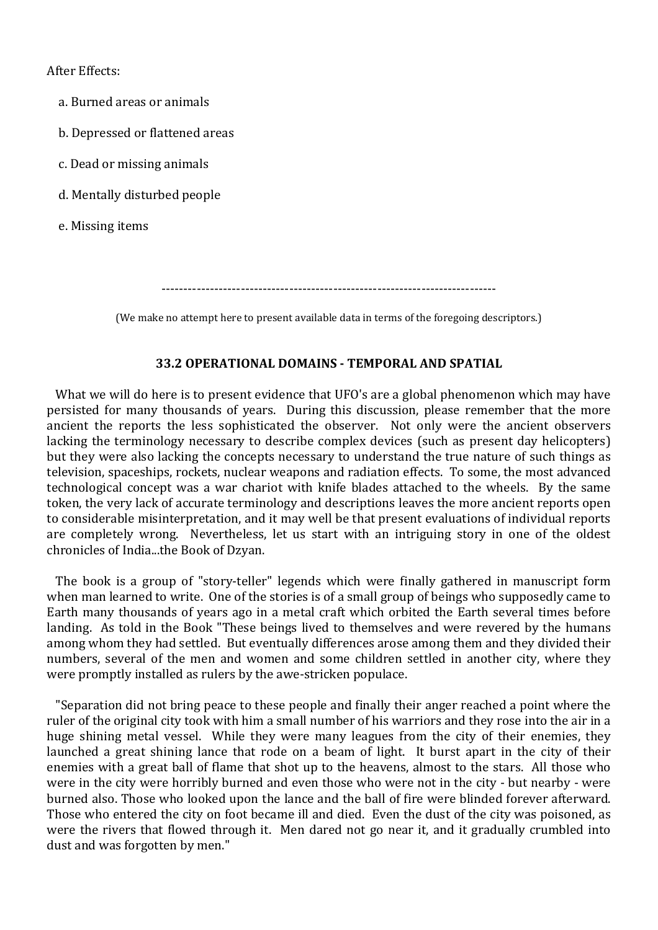After Effects:

- a. Burned areas or animals
- b. Depressed or flattened areas
- c. Dead or missing animals
- d. Mentally disturbed people

e. Missing items

QQQQQQQQQQQQQQQQQQQQQQQQQQQQQQQQQQQQQQQQQQQQQQQQQQQQQQQQQQQQQQQQQQQQQQQQQQQQ

(We make no attempt here to present available data in terms of the foregoing descriptors.)

### **33.2 OPERATIONAL DOMAINS - TEMPORAL AND SPATIAL**

What we will do here is to present evidence that UFO's are a global phenomenon which may have persisted for many thousands of years. During this discussion, please remember that the more ancient the reports the less sophisticated the observer. Not only were the ancient observers lacking the terminology necessary to describe complex devices (such as present day helicopters) but they were also lacking the concepts necessary to understand the true nature of such things as television, spaceships, rockets, nuclear weapons and radiation effects. To some, the most advanced technological concept was a war chariot with knife blades attached to the wheels. By the same token, the very lack of accurate terminology and descriptions leaves the more ancient reports open to considerable misinterpretation, and it may well be that present evaluations of individual reports are completely wrong. Nevertheless, let us start with an intriguing story in one of the oldest chronicles of India...the Book of Dzyan.

The book is a group of "story-teller" legends which were finally gathered in manuscript form when man learned to write. One of the stories is of a small group of beings who supposedly came to Earth many thousands of vears ago in a metal craft which orbited the Earth several times before landing. As told in the Book "These beings lived to themselves and were revered by the humans among whom they had settled. But eventually differences arose among them and they divided their numbers, several of the men and women and some children settled in another city, where they were promptly installed as rulers by the awe-stricken populace.

"Separation did not bring peace to these people and finally their anger reached a point where the ruler of the original city took with him a small number of his warriors and they rose into the air in a huge shining metal vessel. While they were many leagues from the city of their enemies, they launched a great shining lance that rode on a beam of light. It burst apart in the city of their enemies with a great ball of flame that shot up to the heavens, almost to the stars. All those who were in the city were horribly burned and even those who were not in the city - but nearby - were burned also. Those who looked upon the lance and the ball of fire were blinded forever afterward. Those who entered the city on foot became ill and died. Even the dust of the city was poisoned, as were the rivers that flowed through it. Men dared not go near it, and it gradually crumbled into dust and was forgotten by men."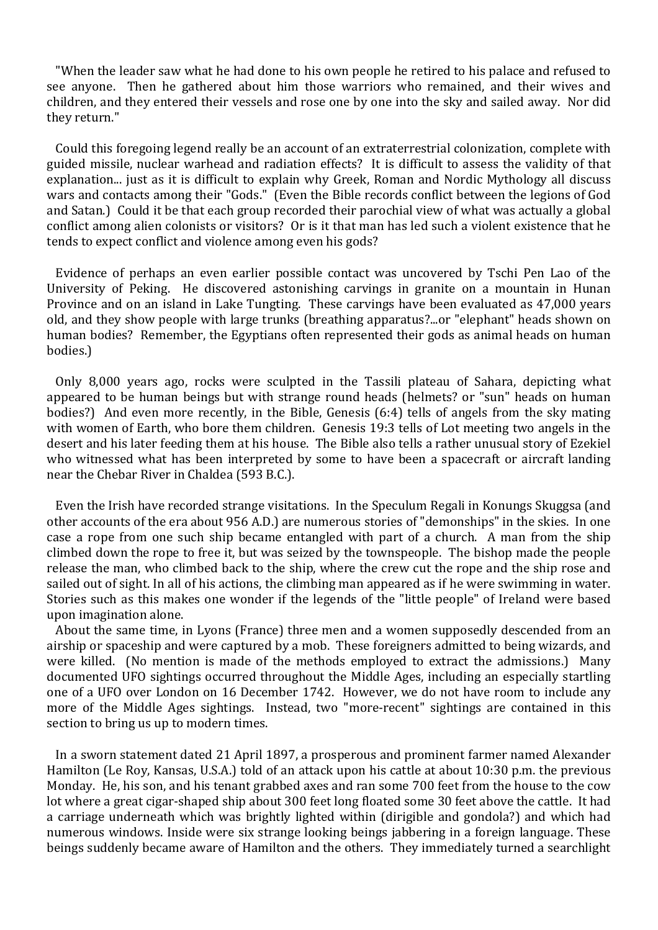"When the leader saw what he had done to his own people he retired to his palace and refused to see anyone. Then he gathered about him those warriors who remained, and their wives and children, and they entered their vessels and rose one by one into the sky and sailed away. Nor did they return."

Could this foregoing legend really be an account of an extraterrestrial colonization, complete with guided missile, nuclear warhead and radiation effects? It is difficult to assess the validity of that explanation... just as it is difficult to explain why Greek, Roman and Nordic Mythology all discuss wars and contacts among their "Gods." (Even the Bible records conflict between the legions of God and Satan.) Could it be that each group recorded their parochial view of what was actually a global conflict among alien colonists or visitors? Or is it that man has led such a violent existence that he tends to expect conflict and violence among even his gods?

Evidence of perhaps an even earlier possible contact was uncovered by Tschi Pen Lao of the University of Peking. He discovered astonishing carvings in granite on a mountain in Hunan Province and on an island in Lake Tungting. These carvings have been evaluated as 47,000 years old, and they show people with large trunks (breathing apparatus?...or "elephant" heads shown on human bodies? Remember, the Egyptians often represented their gods as animal heads on human bodies.)

Only 8,000 years ago, rocks were sculpted in the Tassili plateau of Sahara, depicting what appeared to be human beings but with strange round heads (helmets? or "sun" heads on human bodies?) And even more recently, in the Bible, Genesis (6:4) tells of angels from the sky mating with women of Earth, who bore them children. Genesis 19:3 tells of Lot meeting two angels in the desert and his later feeding them at his house. The Bible also tells a rather unusual story of Ezekiel who witnessed what has been interpreted by some to have been a spacecraft or aircraft landing near the Chebar River in Chaldea (593 B.C.).

Even the Irish have recorded strange visitations. In the Speculum Regali in Konungs Skuggsa (and other accounts of the era about 956 A.D.) are numerous stories of "demonships" in the skies. In one case a rope from one such ship became entangled with part of a church. A man from the ship climbed down the rope to free it, but was seized by the townspeople. The bishop made the people release the man, who climbed back to the ship, where the crew cut the rope and the ship rose and sailed out of sight. In all of his actions, the climbing man appeared as if he were swimming in water. Stories such as this makes one wonder if the legends of the "little people" of Ireland were based upon imagination alone.

About the same time, in Lyons (France) three men and a women supposedly descended from an airship or spaceship and were captured by a mob. These foreigners admitted to being wizards, and were killed. (No mention is made of the methods employed to extract the admissions.) Many documented UFO sightings occurred throughout the Middle Ages, including an especially startling one of a UFO over London on 16 December 1742. However, we do not have room to include any more of the Middle Ages sightings. Instead, two "more-recent" sightings are contained in this section to bring us up to modern times.

In a sworn statement dated 21 April 1897, a prosperous and prominent farmer named Alexander Hamilton (Le Roy, Kansas, U.S.A.) told of an attack upon his cattle at about 10:30 p.m. the previous Monday. He, his son, and his tenant grabbed axes and ran some 700 feet from the house to the cow lot where a great cigar-shaped ship about 300 feet long floated some 30 feet above the cattle. It had a carriage underneath which was brightly lighted within (dirigible and gondola?) and which had numerous windows. Inside were six strange looking beings jabbering in a foreign language. These beings suddenly became aware of Hamilton and the others. They immediately turned a searchlight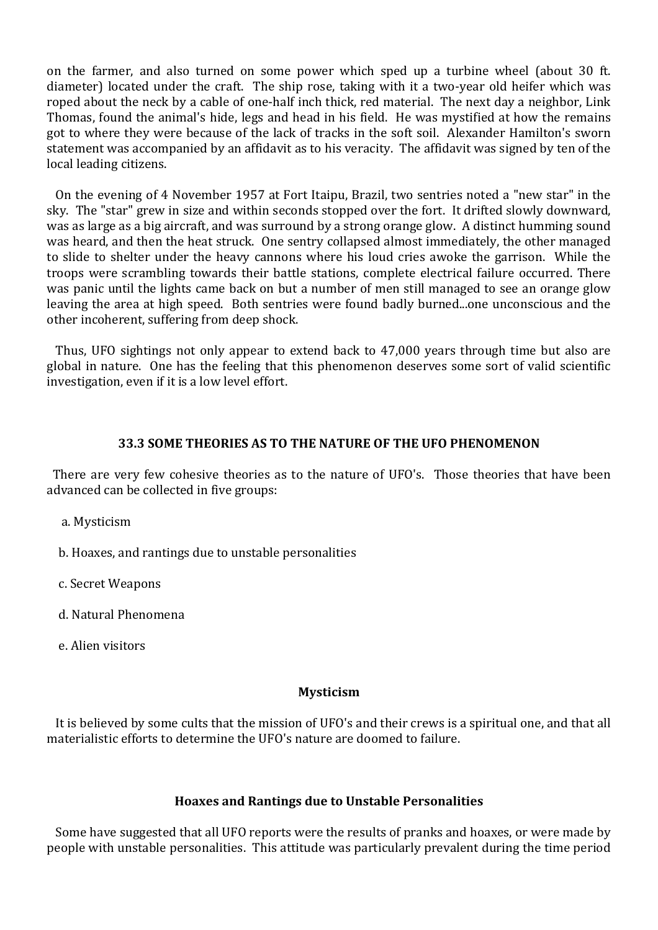on the farmer, and also turned on some power which sped up a turbine wheel (about 30 ft. diameter) located under the craft. The ship rose, taking with it a two-year old heifer which was roped about the neck by a cable of one-half inch thick, red material. The next day a neighbor, Link Thomas, found the animal's hide, legs and head in his field. He was mystified at how the remains got to where they were because of the lack of tracks in the soft soil. Alexander Hamilton's sworn statement was accompanied by an affidavit as to his veracity. The affidavit was signed by ten of the local leading citizens.

On the evening of 4 November 1957 at Fort Itaipu, Brazil, two sentries noted a "new star" in the sky. The "star" grew in size and within seconds stopped over the fort. It drifted slowly downward, was as large as a big aircraft, and was surround by a strong orange glow. A distinct humming sound was heard, and then the heat struck. One sentry collapsed almost immediately, the other managed to slide to shelter under the heavy cannons where his loud cries awoke the garrison. While the troops were scrambling towards their battle stations, complete electrical failure occurred. There was panic until the lights came back on but a number of men still managed to see an orange glow leaving the area at high speed. Both sentries were found badly burned...one unconscious and the other incoherent, suffering from deep shock.

Thus, UFO sightings not only appear to extend back to 47,000 years through time but also are global in nature. One has the feeling that this phenomenon deserves some sort of valid scientific investigation, even if it is a low level effort.

### **33.3 SOME THEORIES AS TO THE NATURE OF THE UFO PHENOMENON**

There are very few cohesive theories as to the nature of UFO's. Those theories that have been advanced can be collected in five groups:

a. Mysticism

b. Hoaxes, and rantings due to unstable personalities

c. Secret Weapons

d. Natural Phenomena

e. Alien visitors

#### **Mysticism**

It is believed by some cults that the mission of UFO's and their crews is a spiritual one, and that all materialistic efforts to determine the UFO's nature are doomed to failure.

#### **Hoaxes and Rantings due to Unstable Personalities**

Some have suggested that all UFO reports were the results of pranks and hoaxes, or were made by people with unstable personalities. This attitude was particularly prevalent during the time period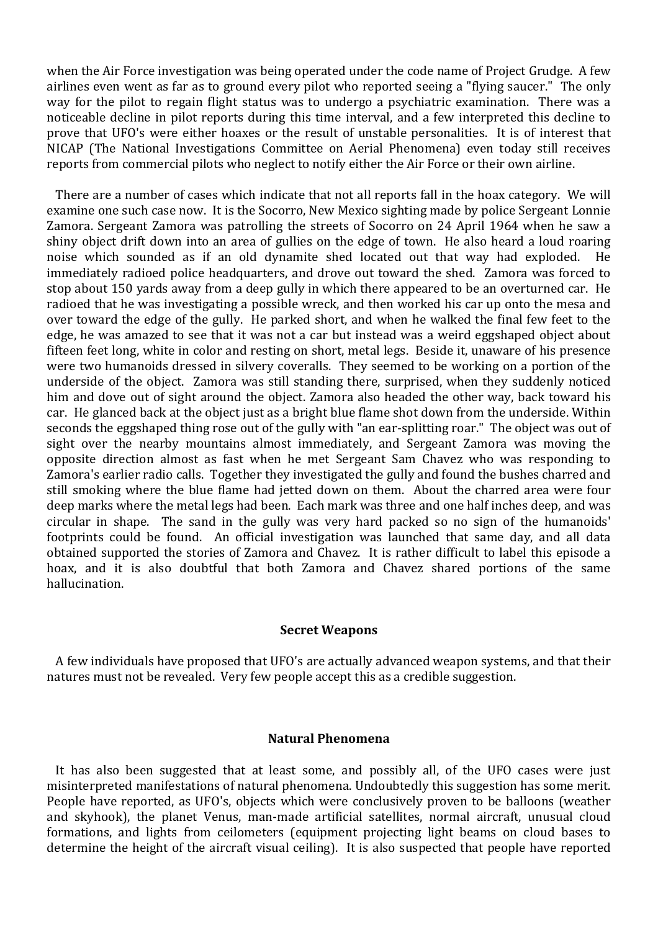when the Air Force investigation was being operated under the code name of Project Grudge. A few airlines even went as far as to ground every pilot who reported seeing a "flying saucer." The only way for the pilot to regain flight status was to undergo a psychiatric examination. There was a noticeable decline in pilot reports during this time interval, and a few interpreted this decline to prove that UFO's were either hoaxes or the result of unstable personalities. It is of interest that NICAP (The National Investigations Committee on Aerial Phenomena) even today still receives reports from commercial pilots who neglect to notify either the Air Force or their own airline.

There are a number of cases which indicate that not all reports fall in the hoax category. We will examine one such case now. It is the Socorro, New Mexico sighting made by police Sergeant Lonnie Zamora. Sergeant Zamora was patrolling the streets of Socorro on 24 April 1964 when he saw a shiny object drift down into an area of gullies on the edge of town. He also heard a loud roaring noise which sounded as if an old dynamite shed located out that way had exploded. immediately radioed police headquarters, and drove out toward the shed. Zamora was forced to stop about 150 yards away from a deep gully in which there appeared to be an overturned car. He radioed that he was investigating a possible wreck, and then worked his car up onto the mesa and over toward the edge of the gully. He parked short, and when he walked the final few feet to the edge, he was amazed to see that it was not a car but instead was a weird eggshaped object about fifteen feet long, white in color and resting on short, metal legs. Beside it, unaware of his presence were two humanoids dressed in silvery coveralls. They seemed to be working on a portion of the underside of the object. Zamora was still standing there, surprised, when they suddenly noticed him and dove out of sight around the object. Zamora also headed the other way, back toward his car. He glanced back at the object just as a bright blue flame shot down from the underside. Within seconds the eggshaped thing rose out of the gully with "an ear-splitting roar." The object was out of sight over the nearby mountains almost immediately, and Sergeant Zamora was moving the opposite direction almost as fast when he met Sergeant Sam Chavez who was responding to Zamora's earlier radio calls. Together they investigated the gully and found the bushes charred and still smoking where the blue flame had jetted down on them. About the charred area were four deep marks where the metal legs had been. Each mark was three and one half inches deep, and was circular in shape. The sand in the gully was very hard packed so no sign of the humanoids' footprints could be found. An official investigation was launched that same day, and all data obtained supported the stories of Zamora and Chavez. It is rather difficult to label this episode a hoax, and it is also doubtful that both Zamora and Chavez shared portions of the same hallucination.

#### **Secret Weapons**

A few individuals have proposed that UFO's are actually advanced weapon systems, and that their natures must not be revealed. Very few people accept this as a credible suggestion.

#### **Natural\*Phenomena**

It has also been suggested that at least some, and possibly all, of the UFO cases were just misinterpreted manifestations of natural phenomena. Undoubtedly this suggestion has some merit. People have reported, as UFO's, objects which were conclusively proven to be balloons (weather and skyhook), the planet Venus, man-made artificial satellites, normal aircraft, unusual cloud formations, and lights from ceilometers (equipment projecting light beams on cloud bases to determine the height of the aircraft visual ceiling). It is also suspected that people have reported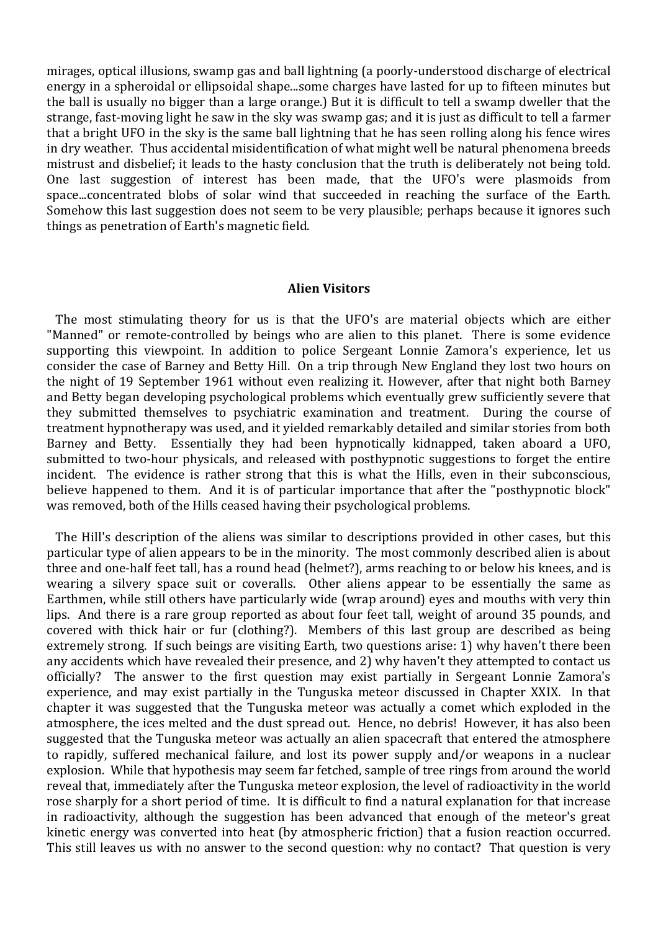mirages, optical illusions, swamp gas and ball lightning (a poorly-understood discharge of electrical energy in a spheroidal or ellipsoidal shape...some charges have lasted for up to fifteen minutes but the ball is usually no bigger than a large orange.) But it is difficult to tell a swamp dweller that the strange, fast-moving light he saw in the sky was swamp gas; and it is just as difficult to tell a farmer that a bright UFO in the sky is the same ball lightning that he has seen rolling along his fence wires in dry weather. Thus accidental misidentification of what might well be natural phenomena breeds mistrust and disbelief; it leads to the hasty conclusion that the truth is deliberately not being told. One last suggestion of interest has been made, that the UFO's were plasmoids from space...concentrated blobs of solar wind that succeeded in reaching the surface of the Earth. Somehow this last suggestion does not seem to be very plausible; perhaps because it ignores such things as penetration of Earth's magnetic field.

#### **Alien Visitors**

The most stimulating theory for us is that the UFO's are material objects which are either "Manned" or remote-controlled by beings who are alien to this planet. There is some evidence supporting this viewpoint. In addition to police Sergeant Lonnie Zamora's experience, let us consider the case of Barney and Betty Hill. On a trip through New England they lost two hours on the night of 19 September 1961 without even realizing it. However, after that night both Barney and Betty began developing psychological problems which eventually grew sufficiently severe that they submitted themselves to psychiatric examination and treatment. During the course of treatment hypnotherapy was used, and it yielded remarkably detailed and similar stories from both Barney and Betty. Essentially they had been hypnotically kidnapped, taken aboard a UFO, submitted to two-hour physicals, and released with posthypnotic suggestions to forget the entire incident. The evidence is rather strong that this is what the Hills, even in their subconscious, believe happened to them. And it is of particular importance that after the "posthypnotic block" was removed, both of the Hills ceased having their psychological problems.

The Hill's description of the aliens was similar to descriptions provided in other cases, but this particular type of alien appears to be in the minority. The most commonly described alien is about three and one-half feet tall, has a round head (helmet?), arms reaching to or below his knees, and is wearing a silvery space suit or coveralls. Other aliens appear to be essentially the same as Earthmen, while still others have particularly wide (wrap around) eyes and mouths with very thin lips. And there is a rare group reported as about four feet tall, weight of around 35 pounds, and covered with thick hair or fur (clothing?). Members of this last group are described as being extremely strong. If such beings are visiting Earth, two questions arise: 1) why haven't there been any accidents which have revealed their presence, and 2) why haven't they attempted to contact us officially? The answer to the first question may exist partially in Sergeant Lonnie Zamora's experience, and may exist partially in the Tunguska meteor discussed in Chapter XXIX. In that chapter it was suggested that the Tunguska meteor was actually a comet which exploded in the atmosphere, the ices melted and the dust spread out. Hence, no debris! However, it has also been suggested that the Tunguska meteor was actually an alien spacecraft that entered the atmosphere to rapidly, suffered mechanical failure, and lost its power supply and/or weapons in a nuclear explosion. While that hypothesis may seem far fetched, sample of tree rings from around the world reveal that, immediately after the Tunguska meteor explosion, the level of radioactivity in the world rose sharply for a short period of time. It is difficult to find a natural explanation for that increase in radioactivity, although the suggestion has been advanced that enough of the meteor's great kinetic energy was converted into heat (by atmospheric friction) that a fusion reaction occurred. This still leaves us with no answer to the second question: why no contact? That question is very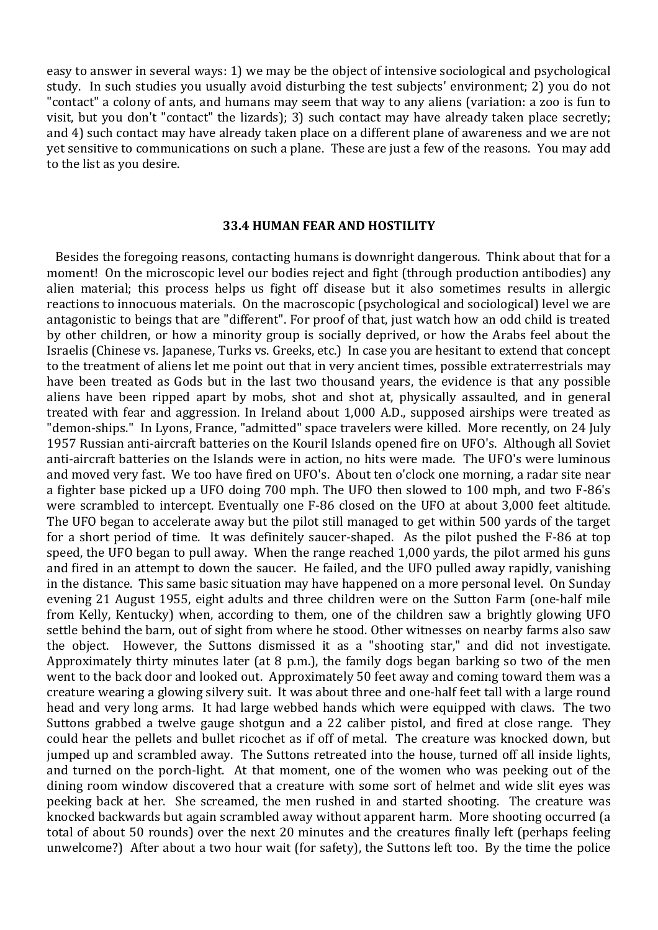easy to answer in several ways: 1) we may be the object of intensive sociological and psychological study. In such studies you usually avoid disturbing the test subjects' environment; 2) you do not "contact" a colony of ants, and humans may seem that way to any aliens (variation: a zoo is fun to visit, but you don't "contact" the lizards); 3) such contact may have already taken place secretly; and 4) such contact may have already taken place on a different plane of awareness and we are not yet sensitive to communications on such a plane. These are just a few of the reasons. You may add to the list as you desire.

#### **33.4 HUMAN FEAR AND HOSTILITY**

Besides the foregoing reasons, contacting humans is downright dangerous. Think about that for a moment! On the microscopic level our bodies reject and fight (through production antibodies) any alien material; this process helps us fight off disease but it also sometimes results in allergic reactions to innocuous materials. On the macroscopic (psychological and sociological) level we are antagonistic to beings that are "different". For proof of that, just watch how an odd child is treated by other children, or how a minority group is socially deprived, or how the Arabs feel about the Israelis (Chinese vs. Japanese, Turks vs. Greeks, etc.) In case you are hesitant to extend that concept to the treatment of aliens let me point out that in very ancient times, possible extraterrestrials may have been treated as Gods but in the last two thousand years, the evidence is that any possible aliens have been ripped apart by mobs, shot and shot at, physically assaulted, and in general treated with fear and aggression. In Ireland about 1,000 A.D., supposed airships were treated as "demon-ships." In Lyons, France, "admitted" space travelers were killed. More recently, on 24 July 1957 Russian anti-aircraft batteries on the Kouril Islands opened fire on UFO's. Although all Soviet anti-aircraft batteries on the Islands were in action, no hits were made. The UFO's were luminous and moved very fast. We too have fired on UFO's. About ten o'clock one morning, a radar site near a fighter base picked up a UFO doing 700 mph. The UFO then slowed to 100 mph, and two F-86's were scrambled to intercept. Eventually one F-86 closed on the UFO at about 3,000 feet altitude. The UFO began to accelerate away but the pilot still managed to get within 500 yards of the target for a short period of time. It was definitely saucer-shaped. As the pilot pushed the F-86 at top speed, the UFO began to pull away. When the range reached 1,000 yards, the pilot armed his guns and fired in an attempt to down the saucer. He failed, and the UFO pulled away rapidly, vanishing in the distance. This same basic situation may have happened on a more personal level. On Sunday evening 21 August 1955, eight adults and three children were on the Sutton Farm (one-half mile from Kelly, Kentucky) when, according to them, one of the children saw a brightly glowing UFO settle behind the barn, out of sight from where he stood. Other witnesses on nearby farms also saw the object. However, the Suttons dismissed it as a "shooting star," and did not investigate. Approximately thirty minutes later (at  $8$  p.m.), the family dogs began barking so two of the men went to the back door and looked out. Approximately 50 feet away and coming toward them was a creature wearing a glowing silvery suit. It was about three and one-half feet tall with a large round head and very long arms. It had large webbed hands which were equipped with claws. The two Suttons grabbed a twelve gauge shotgun and a 22 caliber pistol, and fired at close range. They could hear the pellets and bullet ricochet as if off of metal. The creature was knocked down, but jumped up and scrambled away. The Suttons retreated into the house, turned off all inside lights, and turned on the porch-light. At that moment, one of the women who was peeking out of the dining room window discovered that a creature with some sort of helmet and wide slit eyes was peeking back at her. She screamed, the men rushed in and started shooting. The creature was knocked backwards but again scrambled away without apparent harm. More shooting occurred (a total of about 50 rounds) over the next 20 minutes and the creatures finally left (perhaps feeling unwelcome?) After about a two hour wait (for safety), the Suttons left too. By the time the police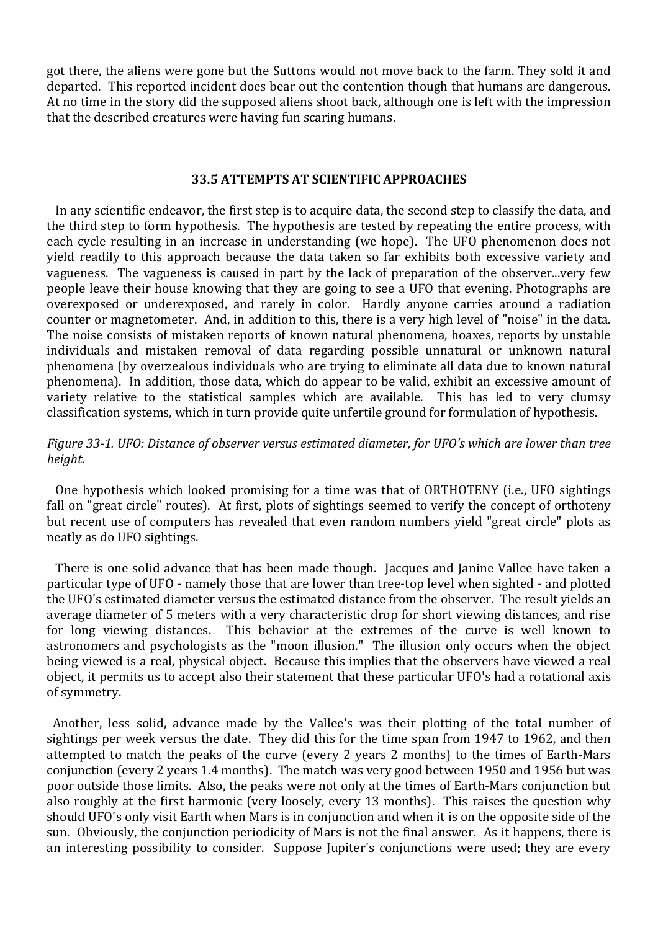got there, the aliens were gone but the Suttons would not move back to the farm. They sold it and departed. This reported incident does bear out the contention though that humans are dangerous. At no time in the story did the supposed aliens shoot back, although one is left with the impression that the described creatures were having fun scaring humans.

#### **33.5 ATTEMPTS AT SCIENTIFIC APPROACHES**

In any scientific endeavor, the first step is to acquire data, the second step to classify the data, and the third step to form hypothesis. The hypothesis are tested by repeating the entire process, with each cycle resulting in an increase in understanding (we hope). The UFO phenomenon does not yield readily to this approach because the data taken so far exhibits both excessive variety and vagueness. The vagueness is caused in part by the lack of preparation of the observer...very few people leave their house knowing that they are going to see a UFO that evening. Photographs are overexposed or underexposed, and rarely in color. Hardly anyone carries around a radiation counter or magnetometer. And, in addition to this, there is a very high level of "noise" in the data. The noise consists of mistaken reports of known natural phenomena, hoaxes, reports by unstable individuals and mistaken removal of data regarding possible unnatural or unknown natural phenomena (by overzealous individuals who are trying to eliminate all data due to known natural phenomena). In addition, those data, which do appear to be valid, exhibit an excessive amount of variety relative to the statistical samples which are available. This has led to very clumsy classification systems, which in turn provide quite unfertile ground for formulation of hypothesis.

# *Figure'33)1.'UFO:'Distance'of'observer'versus'estimated'diameter,'for'UFO's'which'are'lower'than'tree' height.'*

One hypothesis which looked promising for a time was that of ORTHOTENY (i.e., UFO sightings fall on "great circle" routes). At first, plots of sightings seemed to verify the concept of orthoteny but recent use of computers has revealed that even random numbers vield "great circle" plots as neatly as do UFO sightings.

There is one solid advance that has been made though. Jacques and Janine Vallee have taken a particular type of UFO - namely those that are lower than tree-top level when sighted - and plotted the UFO's estimated diameter versus the estimated distance from the observer. The result yields an average diameter of 5 meters with a very characteristic drop for short viewing distances, and rise for long viewing distances. This behavior at the extremes of the curve is well known to astronomers and psychologists as the "moon illusion." The illusion only occurs when the object being viewed is a real, physical object. Because this implies that the observers have viewed a real object, it permits us to accept also their statement that these particular UFO's had a rotational axis of symmetry.

Another, less solid, advance made by the Vallee's was their plotting of the total number of sightings per week versus the date. They did this for the time span from 1947 to 1962, and then attempted to match the peaks of the curve (every 2 years 2 months) to the times of Earth-Mars conjunction (every 2 years 1.4 months). The match was very good between 1950 and 1956 but was poor outside those limits. Also, the peaks were not only at the times of Earth-Mars conjunction but also roughly at the first harmonic (very loosely, every 13 months). This raises the question why should UFO's only visit Earth when Mars is in conjunction and when it is on the opposite side of the sun. Obviously, the conjunction periodicity of Mars is not the final answer. As it happens, there is an interesting possibility to consider. Suppose Jupiter's conjunctions were used; they are every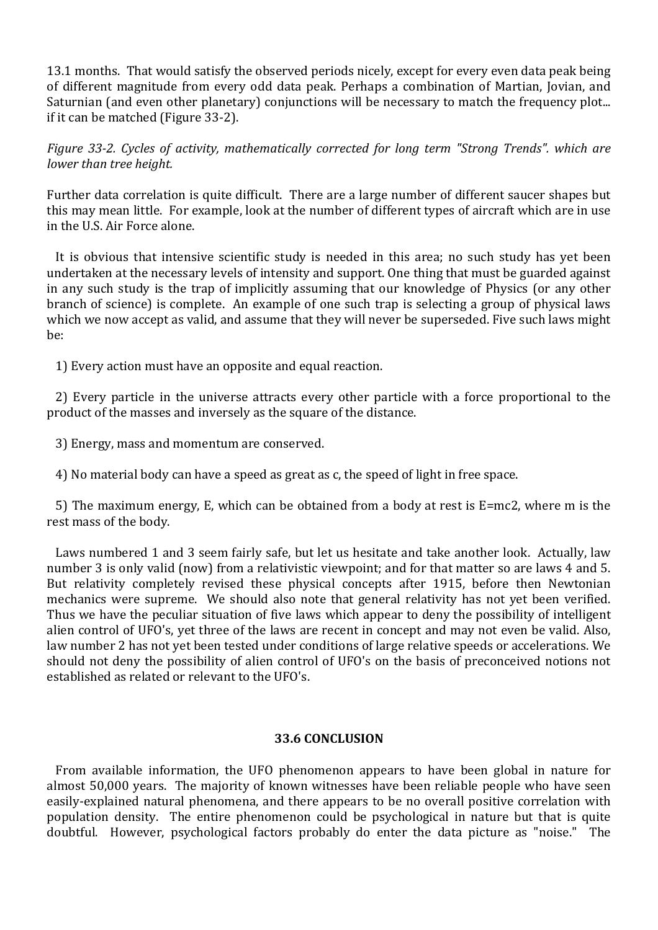13.1 months. That would satisfy the observed periods nicely, except for every even data peak being of different magnitude from every odd data peak. Perhaps a combination of Martian, Jovian, and Saturnian (and even other planetary) conjunctions will be necessary to match the frequency plot... if it can be matched (Figure 33-2).

*Figure 33-2. Cycles of activity, mathematically corrected for long term "Strong Trends". which are lower than tree height.* 

Further data correlation is quite difficult. There are a large number of different saucer shapes but this may mean little. For example, look at the number of different types of aircraft which are in use in the ILS. Air Force alone.

It is obvious that intensive scientific study is needed in this area; no such study has yet been undertaken at the necessary levels of intensity and support. One thing that must be guarded against in any such study is the trap of implicitly assuming that our knowledge of Physics (or any other branch of science) is complete. An example of one such trap is selecting a group of physical laws which we now accept as valid, and assume that they will never be superseded. Five such laws might  $he:$ 

1) Every action must have an opposite and equal reaction.

2) Every particle in the universe attracts every other particle with a force proportional to the product of the masses and inversely as the square of the distance.

3) Energy, mass and momentum are conserved.

4) No material body can have a speed as great as c, the speed of light in free space.

 $\overline{5}$ ) The maximum energy, E, which can be obtained from a body at rest is E=mc2, where m is the rest mass of the body.

Laws numbered 1 and 3 seem fairly safe, but let us hesitate and take another look. Actually, law number 3 is only valid (now) from a relativistic viewpoint; and for that matter so are laws 4 and 5. But relativity completely revised these physical concepts after 1915, before then Newtonian mechanics were supreme. We should also note that general relativity has not yet been verified. Thus we have the peculiar situation of five laws which appear to deny the possibility of intelligent alien control of UFO's, yet three of the laws are recent in concept and may not even be valid. Also, law number 2 has not yet been tested under conditions of large relative speeds or accelerations. We should not deny the possibility of alien control of UFO's on the basis of preconceived notions not established as related or relevant to the UFO's.

#### **33.6 CONCLUSION**

From available information, the UFO phenomenon appears to have been global in nature for almost 50,000 years. The majority of known witnesses have been reliable people who have seen easily-explained natural phenomena, and there appears to be no overall positive correlation with population density. The entire phenomenon could be psychological in nature but that is quite doubtful. However, psychological factors probably do enter the data picture as "noise." The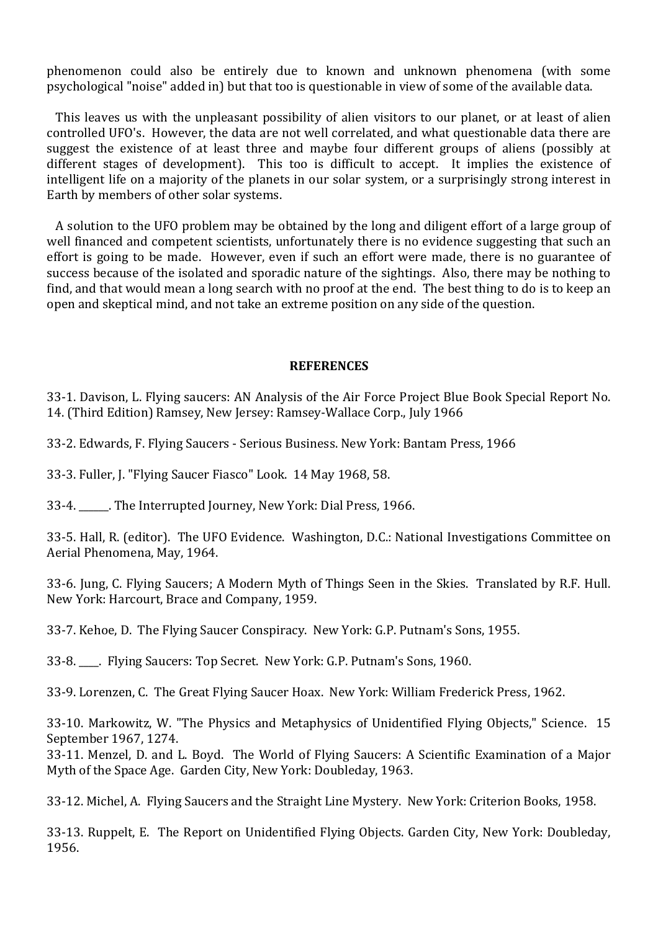phenomenon could also be entirely due to known and unknown phenomena (with some psychological "noise" added in) but that too is questionable in view of some of the available data.

This leaves us with the unpleasant possibility of alien visitors to our planet, or at least of alien controlled UFO's. However, the data are not well correlated, and what questionable data there are suggest the existence of at least three and maybe four different groups of aliens (possibly at different stages of development). This too is difficult to accept. It implies the existence of intelligent life on a majority of the planets in our solar system, or a surprisingly strong interest in Earth by members of other solar systems.

A solution to the UFO problem may be obtained by the long and diligent effort of a large group of well financed and competent scientists, unfortunately there is no evidence suggesting that such an effort is going to be made. However, even if such an effort were made, there is no guarantee of success because of the isolated and sporadic nature of the sightings. Also, there may be nothing to find, and that would mean a long search with no proof at the end. The best thing to do is to keep an open and skeptical mind, and not take an extreme position on any side of the question.

#### **REFERENCES**

33-1. Davison, L. Flying saucers: AN Analysis of the Air Force Project Blue Book Special Report No. 14. (Third Edition) Ramsey, New Jersey: Ramsey-Wallace Corp., July 1966

33-2. Edwards, F. Flying Saucers - Serious Business. New York: Bantam Press, 1966

33-3. Fuller, J. "Flying Saucer Fiasco" Look. 14 May 1968, 58.

33-4. The Interrupted Journey, New York: Dial Press, 1966.

33-5. Hall, R. (editor). The UFO Evidence. Washington, D.C.: National Investigations Committee on Aerial Phenomena, May, 1964.

33-6. Jung, C. Flying Saucers; A Modern Myth of Things Seen in the Skies. Translated by R.F. Hull. New York: Harcourt, Brace and Company, 1959.

33-7. Kehoe, D. The Flying Saucer Conspiracy. New York: G.P. Putnam's Sons, 1955.

33-8. Flying Saucers: Top Secret. New York: G.P. Putnam's Sons, 1960.

33-9. Lorenzen, C. The Great Flying Saucer Hoax. New York: William Frederick Press, 1962.

33-10. Markowitz, W. "The Physics and Metaphysics of Unidentified Flying Objects," Science. 15 September 1967, 1274.

33-11. Menzel, D. and L. Boyd. The World of Flying Saucers: A Scientific Examination of a Major Myth of the Space Age. Garden City, New York: Doubleday, 1963.

33-12. Michel, A. Flying Saucers and the Straight Line Mystery. New York: Criterion Books, 1958.

33-13. Ruppelt, E. The Report on Unidentified Flying Objects. Garden City, New York: Doubleday, 1956.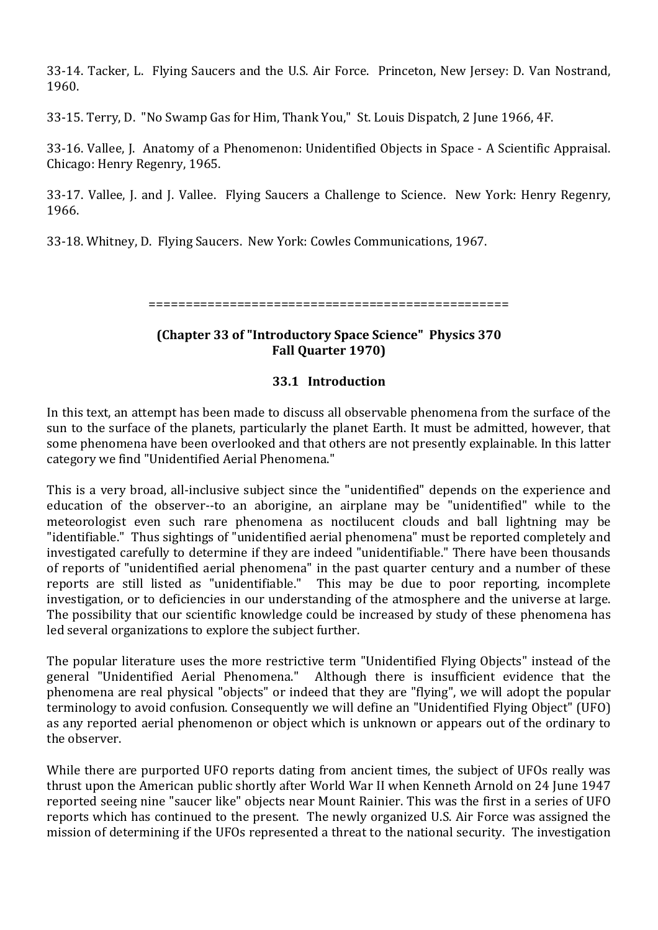33-14. Tacker, L. Flying Saucers and the U.S. Air Force. Princeton, New Jersey: D. Van Nostrand, 1960.

33-15. Terry, D. "No Swamp Gas for Him, Thank You," St. Louis Dispatch, 2 June 1966, 4F.

33-16. Vallee, J. Anatomy of a Phenomenon: Unidentified Objects in Space - A Scientific Appraisal. Chicago: Henry Regenry, 1965.

33-17. Vallee, J. and J. Vallee. Flying Saucers a Challenge to Science. New York: Henry Regenry, 1966.

33-18. Whitney, D. Flying Saucers. New York: Cowles Communications, 1967.

;==================================

# (Chapter 33 of "Introductory Space Science" Physics 370 **Fall Quarter 1970)**

# 33.1 Introduction

In this text, an attempt has been made to discuss all observable phenomena from the surface of the sun to the surface of the planets, particularly the planet Earth. It must be admitted, however, that some phenomena have been overlooked and that others are not presently explainable. In this latter category we find "Unidentified Aerial Phenomena."

This is a very broad, all-inclusive subject since the "unidentified" depends on the experience and education of the observer--to an aborigine, an airplane may be "unidentified" while to the meteorologist even such rare phenomena as noctilucent clouds and ball lightning may be "identifiable." Thus sightings of "unidentified aerial phenomena" must be reported completely and investigated carefully to determine if they are indeed "unidentifiable." There have been thousands of reports of "unidentified aerial phenomena" in the past quarter century and a number of these reports are still listed as "unidentifiable." This may be due to poor reporting, incomplete investigation, or to deficiencies in our understanding of the atmosphere and the universe at large. The possibility that our scientific knowledge could be increased by study of these phenomena has led several organizations to explore the subject further.

The popular literature uses the more restrictive term "Unidentified Flying Objects" instead of the general "Unidentified Aerial Phenomena." Although there is insufficient evidence that the phenomena are real physical "objects" or indeed that they are "flying", we will adopt the popular terminology to avoid confusion. Consequently we will define an "Unidentified Flying Object" (UFO) as any reported aerial phenomenon or object which is unknown or appears out of the ordinary to the observer.

While there are purported UFO reports dating from ancient times, the subject of UFOs really was thrust upon the American public shortly after World War II when Kenneth Arnold on 24 June 1947 reported seeing nine "saucer like" objects near Mount Rainier. This was the first in a series of UFO reports which has continued to the present. The newly organized U.S. Air Force was assigned the mission of determining if the UFOs represented a threat to the national security. The investigation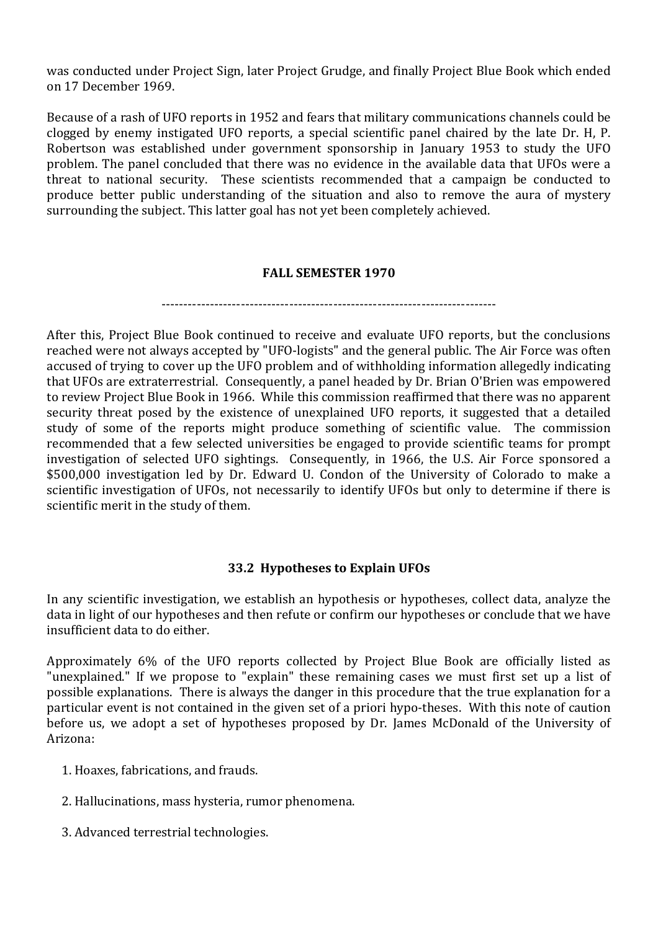was conducted under Project Sign, later Project Grudge, and finally Project Blue Book which ended on 17 December 1969.

Because of a rash of UFO reports in 1952 and fears that military communications channels could be clogged by enemy instigated UFO reports, a special scientific panel chaired by the late Dr. H, P. Robertson was established under government sponsorship in January 1953 to study the UFO problem. The panel concluded that there was no evidence in the available data that UFOs were a threat to national security. These scientists recommended that a campaign be conducted to produce better public understanding of the situation and also to remove the aura of mystery surrounding the subject. This latter goal has not yet been completely achieved.

#### **FALL SEMESTER 1970**

QQQQQQQQQQQQQQQQQQQQQQQQQQQQQQQQQQQQQQQQQQQQQQQQQQQQQQQQQQQQQQQQQQQQQQQQQQQQ

After this, Project Blue Book continued to receive and evaluate UFO reports, but the conclusions reached were not always accepted by "UFO-logists" and the general public. The Air Force was often accused of trying to cover up the UFO problem and of withholding information allegedly indicating that UFOs are extraterrestrial. Consequently, a panel headed by Dr. Brian O'Brien was empowered to review Project Blue Book in 1966. While this commission reaffirmed that there was no apparent security threat posed by the existence of unexplained UFO reports, it suggested that a detailed study of some of the reports might produce something of scientific value. The commission recommended that a few selected universities be engaged to provide scientific teams for prompt investigation of selected UFO sightings. Consequently, in 1966, the U.S. Air Force sponsored a \$500,000 investigation led by Dr. Edward U. Condon of the University of Colorado to make a scientific investigation of UFOs, not necessarily to identify UFOs but only to determine if there is scientific merit in the study of them.

# **33.2 Hypotheses to Explain UFOs**

In any scientific investigation, we establish an hypothesis or hypotheses, collect data, analyze the data in light of our hypotheses and then refute or confirm our hypotheses or conclude that we have insufficient data to do either.

Approximately 6% of the UFO reports collected by Project Blue Book are officially listed as "unexplained." If we propose to "explain" these remaining cases we must first set up a list of possible explanations. There is always the danger in this procedure that the true explanation for a particular event is not contained in the given set of a priori hypo-theses. With this note of caution before us, we adopt a set of hypotheses proposed by Dr. James McDonald of the University of Arizona:

- 1. Hoaxes, fabrications, and frauds.
- 2. Hallucinations, mass hysteria, rumor phenomena.
- 3. Advanced terrestrial technologies.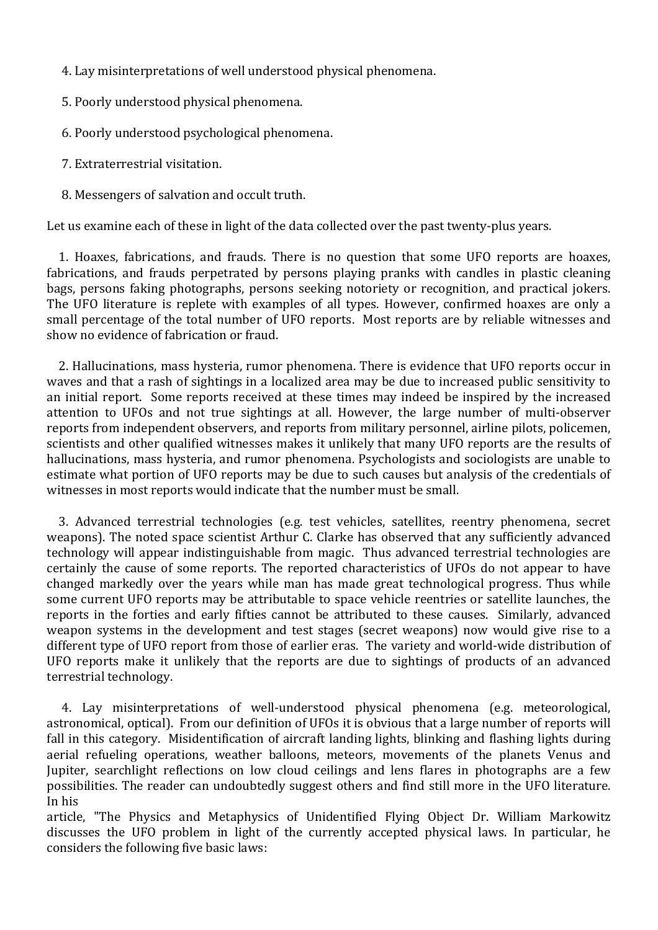4. Lay misinterpretations of well understood physical phenomena.

- 5. Poorly understood physical phenomena.
- 6. Poorly understood psychological phenomena.
- 7. Extraterrestrial visitation.
- 8. Messengers of salvation and occult truth.

Let us examine each of these in light of the data collected over the past twenty-plus vears.

1. Hoaxes, fabrications, and frauds. There is no question that some UFO reports are hoaxes, fabrications, and frauds perpetrated by persons playing pranks with candles in plastic cleaning bags, persons faking photographs, persons seeking notoriety or recognition, and practical jokers. The UFO literature is replete with examples of all types. However, confirmed hoaxes are only a small percentage of the total number of UFO reports. Most reports are by reliable witnesses and show no evidence of fabrication or fraud.

2. Hallucinations, mass hysteria, rumor phenomena. There is evidence that UFO reports occur in waves and that a rash of sightings in a localized area may be due to increased public sensitivity to an initial report. Some reports received at these times may indeed be inspired by the increased attention to UFOs and not true sightings at all. However, the large number of multi-observer reports from independent observers, and reports from military personnel, airline pilots, policemen, scientists and other qualified witnesses makes it unlikely that many UFO reports are the results of hallucinations, mass hysteria, and rumor phenomena. Psychologists and sociologists are unable to estimate what portion of UFO reports may be due to such causes but analysis of the credentials of witnesses in most reports would indicate that the number must be small.

3. Advanced terrestrial technologies (e.g. test vehicles, satellites, reentry phenomena, secret weapons). The noted space scientist Arthur C. Clarke has observed that any sufficiently advanced technology will appear indistinguishable from magic. Thus advanced terrestrial technologies are certainly the cause of some reports. The reported characteristics of UFOs do not appear to have changed markedly over the years while man has made great technological progress. Thus while some current UFO reports may be attributable to space vehicle reentries or satellite launches, the reports in the forties and early fifties cannot be attributed to these causes. Similarly, advanced weapon systems in the development and test stages (secret weapons) now would give rise to a different type of UFO report from those of earlier eras. The variety and world-wide distribution of UFO reports make it unlikely that the reports are due to sightings of products of an advanced terrestrial technology.

4. Lay misinterpretations of well-understood physical phenomena (e.g. meteorological, astronomical, optical). From our definition of UFOs it is obvious that a large number of reports will fall in this category. Misidentification of aircraft landing lights, blinking and flashing lights during aerial refueling operations, weather balloons, meteors, movements of the planets Venus and Jupiter, searchlight reflections on low cloud ceilings and lens flares in photographs are a few possibilities. The reader can undoubtedly suggest others and find still more in the UFO literature. In his

article. "The Physics and Metaphysics of Unidentified Flying Object Dr. William Markowitz discusses the UFO problem in light of the currently accepted physical laws. In particular, he considers the following five basic laws: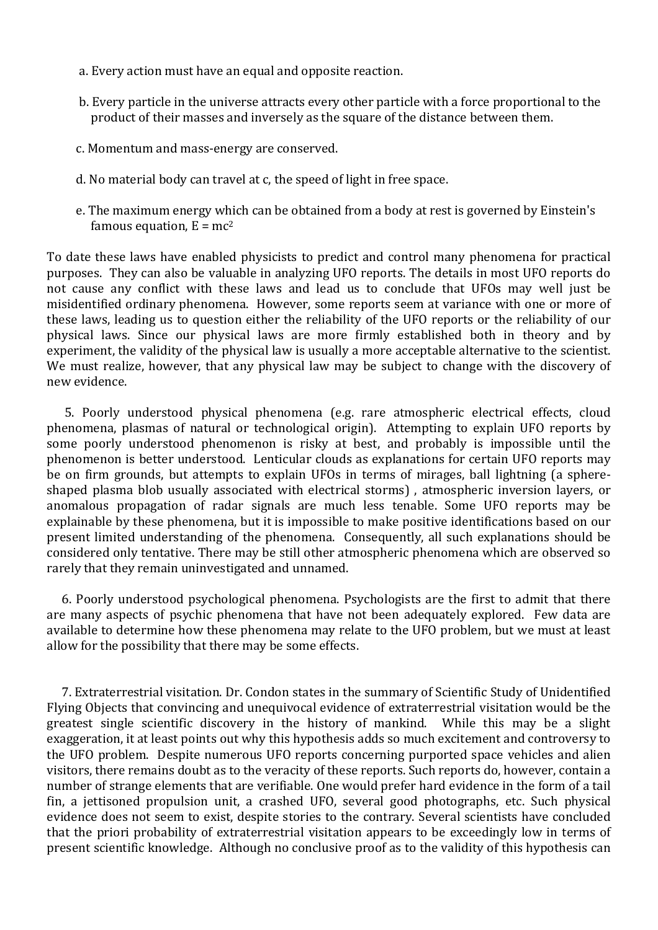- a. Every action must have an equal and opposite reaction.
- b. Every particle in the universe attracts every other particle with a force proportional to the product of their masses and inversely as the square of the distance between them.
- c. Momentum and mass-energy are conserved.
- d. No material body can travel at c, the speed of light in free space.
- e. The maximum energy which can be obtained from a body at rest is governed by Einstein's famous equation.  $E = mc^2$

To date these laws have enabled physicists to predict and control many phenomena for practical purposes. They can also be valuable in analyzing UFO reports. The details in most UFO reports do not cause any conflict with these laws and lead us to conclude that UFOs may well just be misidentified ordinary phenomena. However, some reports seem at variance with one or more of these laws, leading us to question either the reliability of the UFO reports or the reliability of our physical laws. Since our physical laws are more firmly established both in theory and by experiment, the validity of the physical law is usually a more acceptable alternative to the scientist. We must realize, however, that any physical law may be subject to change with the discovery of new evidence.

5. Poorly understood physical phenomena (e.g. rare atmospheric electrical effects, cloud phenomena, plasmas of natural or technological origin). Attempting to explain UFO reports by some poorly understood phenomenon is risky at best, and probably is impossible until the phenomenon is better understood. Lenticular clouds as explanations for certain UFO reports may be on firm grounds, but attempts to explain UFOs in terms of mirages, ball lightning (a sphereshaped plasma blob usually associated with electrical storms), atmospheric inversion layers, or anomalous propagation of radar signals are much less tenable. Some UFO reports may be explainable by these phenomena, but it is impossible to make positive identifications based on our present limited understanding of the phenomena. Consequently, all such explanations should be considered only tentative. There may be still other atmospheric phenomena which are observed so rarely that they remain uninvestigated and unnamed.

6. Poorly understood psychological phenomena. Psychologists are the first to admit that there are many aspects of psychic phenomena that have not been adequately explored. Few data are available to determine how these phenomena may relate to the UFO problem, but we must at least allow for the possibility that there may be some effects.

7. Extraterrestrial visitation. Dr. Condon states in the summary of Scientific Study of Unidentified Flying Objects that convincing and unequivocal evidence of extraterrestrial visitation would be the greatest single scientific discovery in the history of mankind. While this may be a slight exaggeration, it at least points out why this hypothesis adds so much excitement and controversy to the UFO problem. Despite numerous UFO reports concerning purported space vehicles and alien visitors, there remains doubt as to the veracity of these reports. Such reports do, however, contain a number of strange elements that are verifiable. One would prefer hard evidence in the form of a tail fin, a jettisoned propulsion unit, a crashed UFO, several good photographs, etc. Such physical evidence does not seem to exist, despite stories to the contrary. Several scientists have concluded that the priori probability of extraterrestrial visitation appears to be exceedingly low in terms of present scientific knowledge. Although no conclusive proof as to the validity of this hypothesis can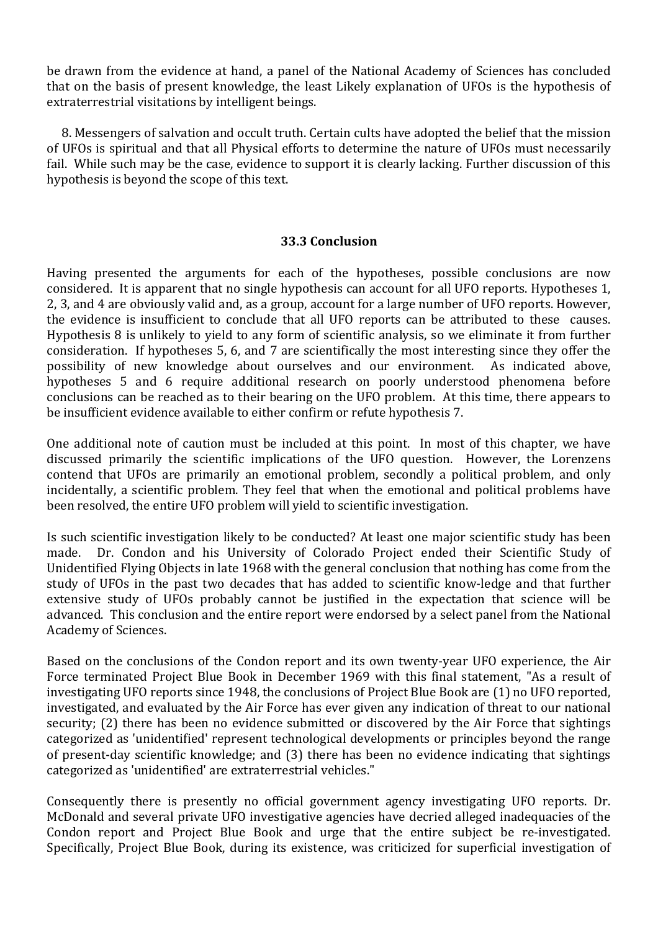be drawn from the evidence at hand, a panel of the National Academy of Sciences has concluded that on the basis of present knowledge, the least Likely explanation of UFOs is the hypothesis of extraterrestrial visitations by intelligent beings.

8. Messengers of salvation and occult truth. Certain cults have adopted the belief that the mission of UFOs is spiritual and that all Physical efforts to determine the nature of UFOs must necessarily fail. While such may be the case, evidence to support it is clearly lacking. Further discussion of this hypothesis is beyond the scope of this text.

### **33.3 Conclusion**

Having presented the arguments for each of the hypotheses, possible conclusions are now considered. It is apparent that no single hypothesis can account for all UFO reports. Hypotheses 1, 2, 3, and 4 are obviously valid and, as a group, account for a large number of UFO reports. However. the evidence is insufficient to conclude that all UFO reports can be attributed to these causes. Hypothesis 8 is unlikely to yield to any form of scientific analysis, so we eliminate it from further consideration. If hypotheses 5, 6, and 7 are scientifically the most interesting since they offer the possibility of new knowledge about ourselves and our environment. As indicated above, hypotheses 5 and 6 require additional research on poorly understood phenomena before conclusions can be reached as to their bearing on the UFO problem. At this time, there appears to be insufficient evidence available to either confirm or refute hypothesis 7.

One additional note of caution must be included at this point. In most of this chapter, we have discussed primarily the scientific implications of the UFO question. However, the Lorenzens contend that UFOs are primarily an emotional problem, secondly a political problem, and only incidentally, a scientific problem. They feel that when the emotional and political problems have been resolved, the entire UFO problem will yield to scientific investigation.

Is such scientific investigation likely to be conducted? At least one major scientific study has been made. Dr. Condon and his University of Colorado Project ended their Scientific Study of Unidentified Flying Objects in late 1968 with the general conclusion that nothing has come from the study of UFOs in the past two decades that has added to scientific know-ledge and that further extensive study of UFOs probably cannot be justified in the expectation that science will be advanced. This conclusion and the entire report were endorsed by a select panel from the National Academy of Sciences.

Based on the conclusions of the Condon report and its own twenty-year UFO experience, the Air Force terminated Project Blue Book in December 1969 with this final statement, "As a result of investigating UFO reports since 1948, the conclusions of Project Blue Book are (1) no UFO reported, investigated, and evaluated by the Air Force has ever given any indication of threat to our national security; (2) there has been no evidence submitted or discovered by the Air Force that sightings categorized as 'unidentified' represent technological developments or principles beyond the range of present-day scientific knowledge; and (3) there has been no evidence indicating that sightings categorized as 'unidentified' are extraterrestrial vehicles."

Consequently there is presently no official government agency investigating UFO reports. Dr. McDonald and several private UFO investigative agencies have decried alleged inadequacies of the Condon report and Project Blue Book and urge that the entire subject be re-investigated. Specifically, Project Blue Book, during its existence, was criticized for superficial investigation of